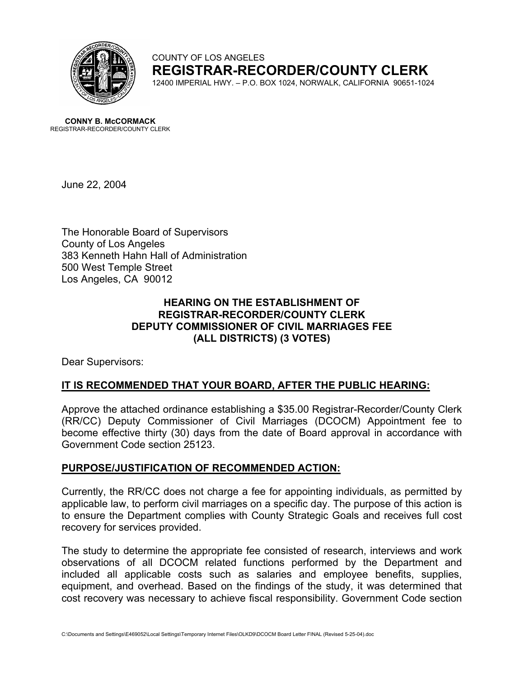

COUNTY OF LOS ANGELES **REGISTRAR-RECORDER/COUNTY CLERK** 12400 IMPERIAL HWY. – P.O. BOX 1024, NORWALK, CALIFORNIA 90651-1024

**CONNY B. McCORMACK** REGISTRAR-RECORDER/COUNTY CLERK

June 22, 2004

The Honorable Board of Supervisors County of Los Angeles 383 Kenneth Hahn Hall of Administration 500 West Temple Street Los Angeles, CA 90012

# **HEARING ON THE ESTABLISHMENT OF REGISTRAR-RECORDER/COUNTY CLERK DEPUTY COMMISSIONER OF CIVIL MARRIAGES FEE (ALL DISTRICTS) (3 VOTES)**

Dear Supervisors:

## **IT IS RECOMMENDED THAT YOUR BOARD, AFTER THE PUBLIC HEARING:**

Approve the attached ordinance establishing a \$35.00 Registrar-Recorder/County Clerk (RR/CC) Deputy Commissioner of Civil Marriages (DCOCM) Appointment fee to become effective thirty (30) days from the date of Board approval in accordance with Government Code section 25123.

## **PURPOSE/JUSTIFICATION OF RECOMMENDED ACTION:**

Currently, the RR/CC does not charge a fee for appointing individuals, as permitted by applicable law, to perform civil marriages on a specific day. The purpose of this action is to ensure the Department complies with County Strategic Goals and receives full cost recovery for services provided.

The study to determine the appropriate fee consisted of research, interviews and work observations of all DCOCM related functions performed by the Department and included all applicable costs such as salaries and employee benefits, supplies, equipment, and overhead. Based on the findings of the study, it was determined that cost recovery was necessary to achieve fiscal responsibility. Government Code section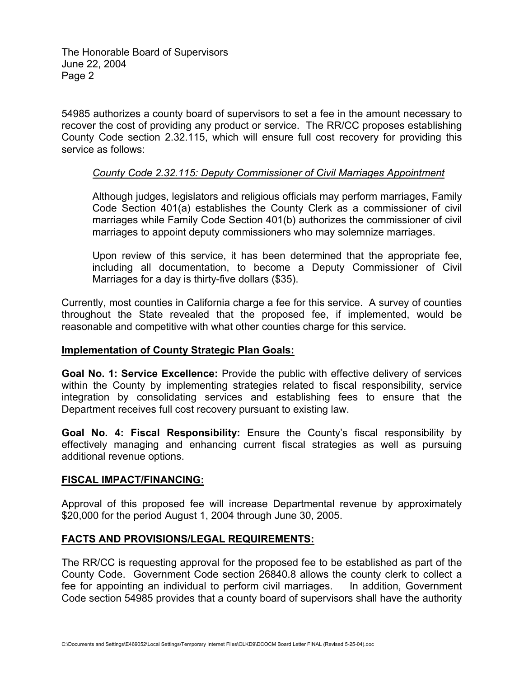The Honorable Board of Supervisors June 22, 2004 Page 2

54985 authorizes a county board of supervisors to set a fee in the amount necessary to recover the cost of providing any product or service. The RR/CC proposes establishing County Code section 2.32.115, which will ensure full cost recovery for providing this service as follows:

### *County Code 2.32.115: Deputy Commissioner of Civil Marriages Appointment*

Although judges, legislators and religious officials may perform marriages, Family Code Section 401(a) establishes the County Clerk as a commissioner of civil marriages while Family Code Section 401(b) authorizes the commissioner of civil marriages to appoint deputy commissioners who may solemnize marriages.

Upon review of this service, it has been determined that the appropriate fee, including all documentation, to become a Deputy Commissioner of Civil Marriages for a day is thirty-five dollars (\$35).

Currently, most counties in California charge a fee for this service. A survey of counties throughout the State revealed that the proposed fee, if implemented, would be reasonable and competitive with what other counties charge for this service.

#### **Implementation of County Strategic Plan Goals:**

**Goal No. 1: Service Excellence:** Provide the public with effective delivery of services within the County by implementing strategies related to fiscal responsibility, service integration by consolidating services and establishing fees to ensure that the Department receives full cost recovery pursuant to existing law.

**Goal No. 4: Fiscal Responsibility:** Ensure the County's fiscal responsibility by effectively managing and enhancing current fiscal strategies as well as pursuing additional revenue options.

#### **FISCAL IMPACT/FINANCING:**

Approval of this proposed fee will increase Departmental revenue by approximately \$20,000 for the period August 1, 2004 through June 30, 2005.

## **FACTS AND PROVISIONS/LEGAL REQUIREMENTS:**

The RR/CC is requesting approval for the proposed fee to be established as part of the County Code. Government Code section 26840.8 allows the county clerk to collect a fee for appointing an individual to perform civil marriages. In addition, Government Code section 54985 provides that a county board of supervisors shall have the authority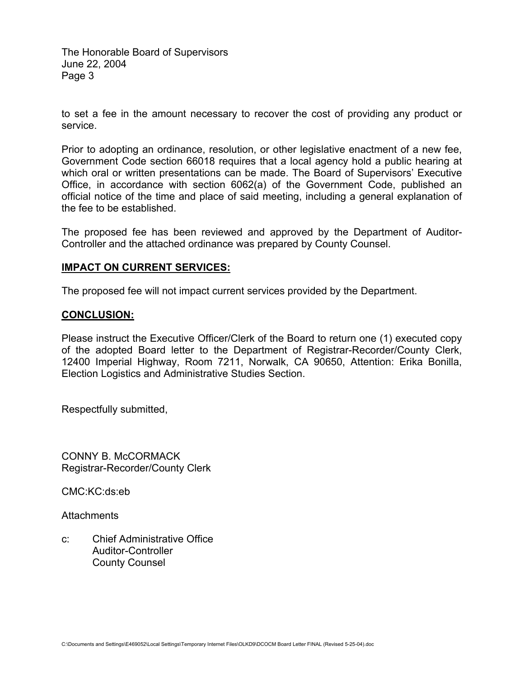The Honorable Board of Supervisors June 22, 2004 Page 3

to set a fee in the amount necessary to recover the cost of providing any product or service.

Prior to adopting an ordinance, resolution, or other legislative enactment of a new fee, Government Code section 66018 requires that a local agency hold a public hearing at which oral or written presentations can be made. The Board of Supervisors' Executive Office, in accordance with section 6062(a) of the Government Code, published an official notice of the time and place of said meeting, including a general explanation of the fee to be established.

The proposed fee has been reviewed and approved by the Department of Auditor-Controller and the attached ordinance was prepared by County Counsel.

### **IMPACT ON CURRENT SERVICES:**

The proposed fee will not impact current services provided by the Department.

#### **CONCLUSION:**

Please instruct the Executive Officer/Clerk of the Board to return one (1) executed copy of the adopted Board letter to the Department of Registrar-Recorder/County Clerk, 12400 Imperial Highway, Room 7211, Norwalk, CA 90650, Attention: Erika Bonilla, Election Logistics and Administrative Studies Section.

Respectfully submitted,

CONNY B. McCORMACK Registrar-Recorder/County Clerk

CMC:KC:ds:eb

Attachments

c: Chief Administrative Office Auditor-Controller County Counsel